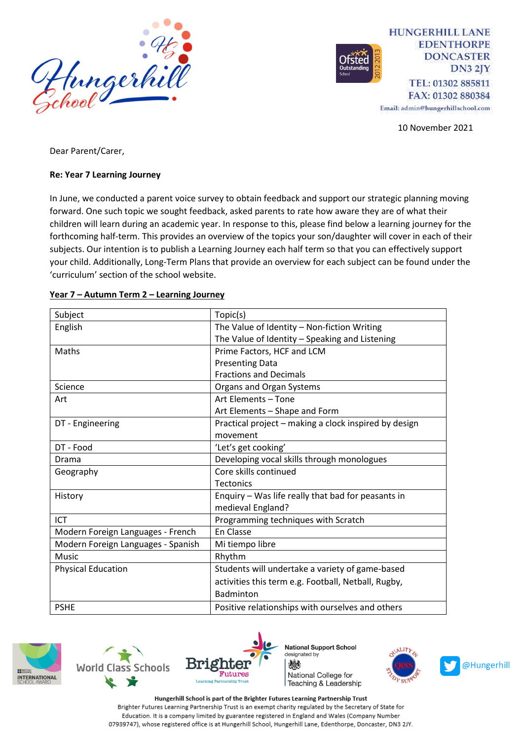

**HUNGERHILL LANE EDENTHORPE DONCASTER**  $DN32IY$ TEL: 01302 885811 FAX: 01302 880384

Email: admin@hungerhillschool.com

10 November 2021

Dear Parent/Carer,

#### **Re: Year 7 Learning Journey**

In June, we conducted a parent voice survey to obtain feedback and support our strategic planning moving forward. One such topic we sought feedback, asked parents to rate how aware they are of what their children will learn during an academic year. In response to this, please find below a learning journey for the forthcoming half-term. This provides an overview of the topics your son/daughter will cover in each of their subjects. Our intention is to publish a Learning Journey each half term so that you can effectively support your child. Additionally, Long-Term Plans that provide an overview for each subject can be found under the 'curriculum' section of the school website.

| Subject                            | Topic(s)                                              |
|------------------------------------|-------------------------------------------------------|
| English                            | The Value of Identity - Non-fiction Writing           |
|                                    | The Value of Identity - Speaking and Listening        |
| Maths                              | Prime Factors, HCF and LCM                            |
|                                    | <b>Presenting Data</b>                                |
|                                    | <b>Fractions and Decimals</b>                         |
| Science                            | Organs and Organ Systems                              |
| Art                                | Art Elements - Tone                                   |
|                                    | Art Elements - Shape and Form                         |
| DT - Engineering                   | Practical project - making a clock inspired by design |
|                                    | movement                                              |
| DT - Food                          | 'Let's get cooking'                                   |
| Drama                              | Developing vocal skills through monologues            |
| Geography                          | Core skills continued                                 |
|                                    | <b>Tectonics</b>                                      |
| History                            | Enquiry - Was life really that bad for peasants in    |
|                                    | medieval England?                                     |
| ICT                                | Programming techniques with Scratch                   |
| Modern Foreign Languages - French  | En Classe                                             |
| Modern Foreign Languages - Spanish | Mi tiempo libre                                       |
| <b>Music</b>                       | Rhythm                                                |
| <b>Physical Education</b>          | Students will undertake a variety of game-based       |
|                                    | activities this term e.g. Football, Netball, Rugby,   |
|                                    | Badminton                                             |
| <b>PSHE</b>                        | Positive relationships with ourselves and others      |

#### **Year 7 – Autumn Term 2 – Learning Journey**







**National Support School** designated by 燃 National College for Teaching & Leadership



Hungerhill School is part of the Brighter Futures Learning Partnership Trust Brighter Futures Learning Partnership Trust is an exempt charity regulated by the Secretary of State for Education. It is a company limited by guarantee registered in England and Wales (Company Number 07939747), whose registered office is at Hungerhill School, Hungerhill Lane, Edenthorpe, Doncaster, DN3 2JY.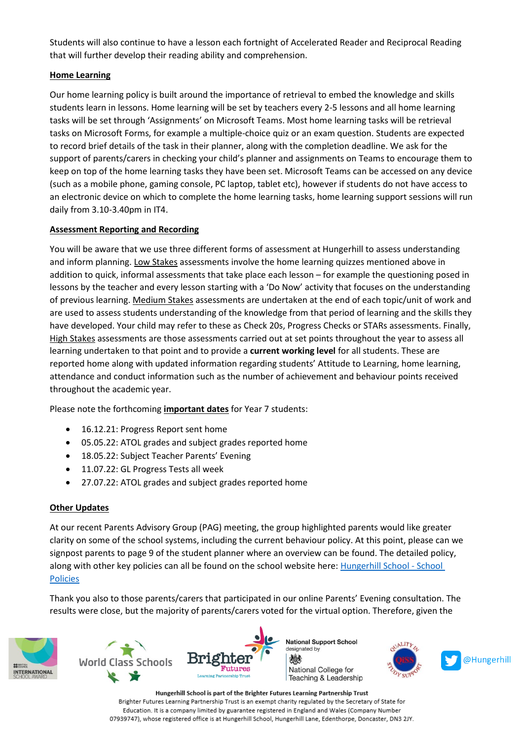Students will also continue to have a lesson each fortnight of Accelerated Reader and Reciprocal Reading that will further develop their reading ability and comprehension.

# **Home Learning**

Our home learning policy is built around the importance of retrieval to embed the knowledge and skills students learn in lessons. Home learning will be set by teachers every 2-5 lessons and all home learning tasks will be set through 'Assignments' on Microsoft Teams. Most home learning tasks will be retrieval tasks on Microsoft Forms, for example a multiple-choice quiz or an exam question. Students are expected to record brief details of the task in their planner, along with the completion deadline. We ask for the support of parents/carers in checking your child's planner and assignments on Teams to encourage them to keep on top of the home learning tasks they have been set. Microsoft Teams can be accessed on any device (such as a mobile phone, gaming console, PC laptop, tablet etc), however if students do not have access to an electronic device on which to complete the home learning tasks, home learning support sessions will run daily from 3.10-3.40pm in IT4.

# **Assessment Reporting and Recording**

You will be aware that we use three different forms of assessment at Hungerhill to assess understanding and inform planning. Low Stakes assessments involve the home learning quizzes mentioned above in addition to quick, informal assessments that take place each lesson – for example the questioning posed in lessons by the teacher and every lesson starting with a 'Do Now' activity that focuses on the understanding of previous learning. Medium Stakes assessments are undertaken at the end of each topic/unit of work and are used to assess students understanding of the knowledge from that period of learning and the skills they have developed. Your child may refer to these as Check 20s, Progress Checks or STARs assessments. Finally, High Stakes assessments are those assessments carried out at set points throughout the year to assess all learning undertaken to that point and to provide a **current working level** for all students. These are reported home along with updated information regarding students' Attitude to Learning, home learning, attendance and conduct information such as the number of achievement and behaviour points received throughout the academic year.

Please note the forthcoming **important dates** for Year 7 students:

- 16.12.21: Progress Report sent home
- 05.05.22: ATOL grades and subject grades reported home
- 18.05.22: Subject Teacher Parents' Evening
- 11.07.22: GL Progress Tests all week
- 27.07.22: ATOL grades and subject grades reported home

### **Other Updates**

At our recent Parents Advisory Group (PAG) meeting, the group highlighted parents would like greater clarity on some of the school systems, including the current behaviour policy. At this point, please can we signpost parents to page 9 of the student planner where an overview can be found. The detailed policy, along with other key policies can all be found on the school website here: [Hungerhill School -](https://www.hungerhillschool.com/page/?title=School+Policies&pid=95) School [Policies](https://www.hungerhillschool.com/page/?title=School+Policies&pid=95)

Thank you also to those parents/carers that participated in our online Parents' Evening consultation. The results were close, but the majority of parents/carers voted for the virtual option. Therefore, given the





Hungerhill School is part of the Brighter Futures Learning Partnership Trust Brighter Futures Learning Partnership Trust is an exempt charity regulated by the Secretary of State for Education. It is a company limited by guarantee registered in England and Wales (Company Number 07939747), whose registered office is at Hungerhill School, Hungerhill Lane, Edenthorpe, Doncaster, DN3 2JY.